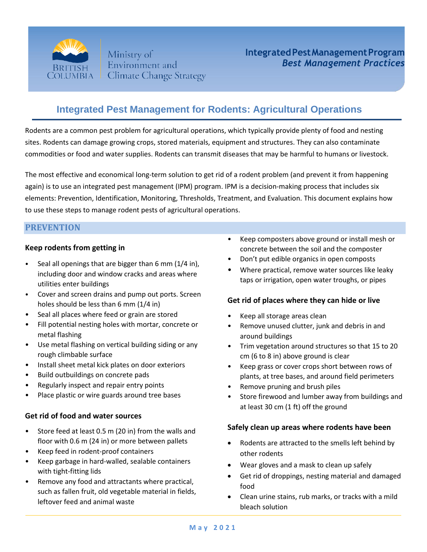

Ministry of Environment and **Climate Change Strategy** 

# **Integrated Pest Management for Rodents: Agricultural Operations**

Rodents are a common pest problem for agricultural operations, which typically provide plenty of food and nesting sites. Rodents can damage growing crops, stored materials, equipment and structures. They can also contaminate commodities or food and water supplies. Rodents can transmit diseases that may be harmful to humans or livestock.

The most effective and economical long-term solution to get rid of a rodent problem (and prevent it from happening again) is to use an integrated pest management (IPM) program. IPM is a decision-making process that includes six elements: Prevention, Identification, Monitoring, Thresholds, Treatment, and Evaluation. This document explains how to use these steps to manage rodent pests of agricultural operations.

# **PREVENTION**

## **Keep rodents from getting in**

- Seal all openings that are bigger than 6 mm (1/4 in), including door and window cracks and areas where utilities enter buildings
- Cover and screen drains and pump out ports. Screen holes should be less than 6 mm (1/4 in)
- Seal all places where feed or grain are stored
- Fill potential nesting holes with mortar, concrete or metal flashing
- Use metal flashing on vertical building siding or any rough climbable surface
- Install sheet metal kick plates on door exteriors
- Build outbuildings on concrete pads
- Regularly inspect and repair entry points
- Place plastic or wire guards around tree bases

#### **Get rid of food and water sources**

- Store feed at least 0.5 m (20 in) from the walls and floor with 0.6 m (24 in) or more between pallets
- Keep feed in rodent-proof containers
- Keep garbage in hard-walled, sealable containers with tight-fitting lids
- Remove any food and attractants where practical, such as fallen fruit, old vegetable material in fields, leftover feed and animal waste
- Keep composters above ground or install mesh or concrete between the soil and the composter
- Don't put edible organics in open composts
- Where practical, remove water sources like leaky taps or irrigation, open water troughs, or pipes

#### **Get rid of places where they can hide or live**

- Keep all storage areas clean
- Remove unused clutter, junk and debris in and around buildings
- Trim vegetation around structures so that 15 to 20 cm (6 to 8 in) above ground is clear
- Keep grass or cover crops short between rows of plants, at tree bases, and around field perimeters
- Remove pruning and brush piles
- Store firewood and lumber away from buildings and at least 30 cm (1 ft) off the ground

#### **Safely clean up areas where rodents have been**

- Rodents are attracted to the smells left behind by other rodents
- Wear gloves and a mask to clean up safely
- Get rid of droppings, nesting material and damaged food
- Clean urine stains, rub marks, or tracks with a mild bleach solution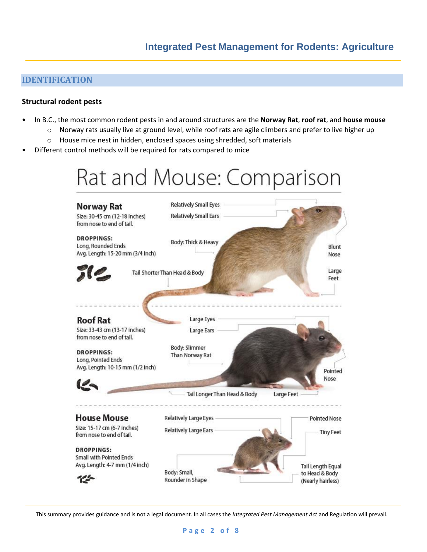# **IDENTIFICATION**

#### **Structural rodent pests**

- In B.C., the most common rodent pests in and around structures are the **Norway Rat**, **roof rat**, and **house mouse**
	- $\circ$  Norway rats usually live at ground level, while roof rats are agile climbers and prefer to live higher up
	- o House mice nest in hidden, enclosed spaces using shredded, soft materials
- Different control methods will be required for rats compared to mice

# Rat and Mouse: Comparison

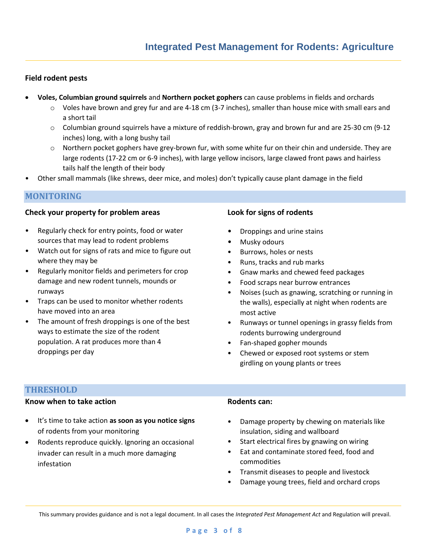#### **Field rodent pests**

- **Voles, Columbian ground squirrels** and **Northern pocket gophers** can cause problems in fields and orchards
	- $\circ$  Voles have brown and grey fur and are 4-18 cm (3-7 inches), smaller than house mice with small ears and a short tail
	- $\circ$  Columbian ground squirrels have a mixture of reddish-brown, gray and brown fur and are 25-30 cm (9-12) inches) long, with a long bushy tail
	- o Northern pocket gophers have grey-brown fur, with some white fur on their chin and underside. They are large rodents (17-22 cm or 6-9 inches), with large yellow incisors, large clawed front paws and hairless tails half the length of their body
- Other small mammals (like shrews, deer mice, and moles) don't typically cause plant damage in the field

## **MONITORING**

#### **Check your property for problem areas**

- Regularly check for entry points, food or water sources that may lead to rodent problems
- Watch out for signs of rats and mice to figure out where they may be
- Regularly monitor fields and perimeters for crop damage and new rodent tunnels, mounds or runways
- Traps can be used to monitor whether rodents have moved into an area
- The amount of fresh droppings is one of the best ways to estimate the size of the rodent population. A rat produces more than 4 droppings per day

#### **Look for signs of rodents**

- Droppings and urine stains
- Musky odours
- Burrows, holes or nests
- Runs, tracks and rub marks
- Gnaw marks and chewed feed packages
- Food scraps near burrow entrances
- Noises (such as gnawing, scratching or running in the walls), especially at night when rodents are most active
- Runways or tunnel openings in grassy fields from rodents burrowing underground
- Fan-shaped gopher mounds
- Chewed or exposed root systems or stem girdling on young plants or trees

#### **THRESHOLD**

# **Know when to take action**

- It's time to take action **as soon as you notice signs** of rodents from your monitoring
- Rodents reproduce quickly. Ignoring an occasional invader can result in a much more damaging infestation

# **Rodents can:**

- Damage property by chewing on materials like insulation, siding and wallboard
- Start electrical fires by gnawing on wiring
- Eat and contaminate stored feed, food and commodities
- Transmit diseases to people and livestock
- Damage young trees, field and orchard crops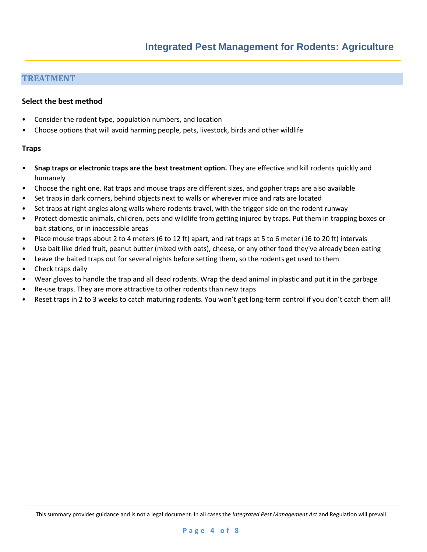## **TREATMENT**

#### **Select the best method**

- Consider the rodent type, population numbers, and location
- Choose options that will avoid harming people, pets, livestock, birds and other wildlife

#### **Traps**

- **Snap traps or electronic traps are the best treatment option.** They are effective and kill rodents quickly and humanely
- Choose the right one. Rat traps and mouse traps are different sizes, and gopher traps are also available
- Set traps in dark corners, behind objects next to walls or wherever mice and rats are located
- Set traps at right angles along walls where rodents travel, with the trigger side on the rodent runway
- Protect domestic animals, children, pets and wildlife from getting injured by traps. Put them in trapping boxes or bait stations, or in inaccessible areas
- Place mouse traps about 2 to 4 meters (6 to 12 ft) apart, and rat traps at 5 to 6 meter (16 to 20 ft) intervals
- Use bait like dried fruit, peanut butter (mixed with oats), cheese, or any other food they've already been eating
- Leave the baited traps out for several nights before setting them, so the rodents get used to them
- Check traps daily
- Wear gloves to handle the trap and all dead rodents. Wrap the dead animal in plastic and put it in the garbage
- Re-use traps. They are more attractive to other rodents than new traps
- Reset traps in 2 to 3 weeks to catch maturing rodents. You won't get long-term control if you don't catch them all!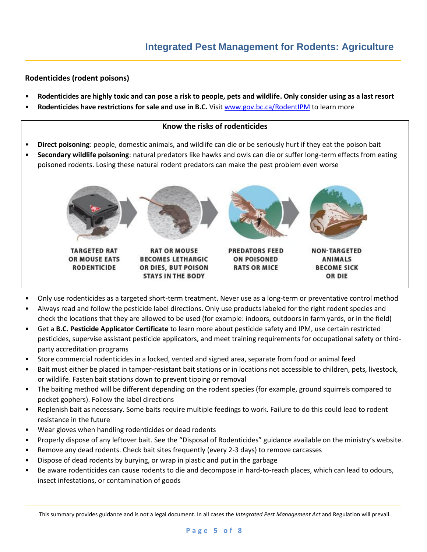## **Rodenticides (rodent poisons)**

- **Rodenticides are highly toxic and can pose a risk to people, pets and wildlife. Only consider using as a last resort**
- Rodenticides have restrictions for sale and use in B.C. Visit [www.gov.bc.ca/RodentIPM](http://www.gov.bc.ca/RodentIPM) to learn more

#### **Know the risks of rodenticides**

- **Direct poisoning**: people, domestic animals, and wildlife can die or be seriously hurt if they eat the poison bait
- **Secondary wildlife poisoning**: natural predators like hawks and owls can die or suffer long-term effects from eating poisoned rodents. Losing these natural rodent predators can make the pest problem even worse



- Only use rodenticides as a targeted short-term treatment. Never use as a long-term or preventative control method
- Always read and follow the pesticide label directions. Only use products labeled for the right rodent species and check the locations that they are allowed to be used (for example: indoors, outdoors in farm yards, or in the field)
- Get a **B.C. Pesticide Applicator Certificate** to learn more about pesticide safety and IPM, use certain restricted pesticides, supervise assistant pesticide applicators, and meet training requirements for occupational safety or thirdparty accreditation programs
- Store commercial rodenticides in a locked, vented and signed area, separate from food or animal feed
- Bait must either be placed in tamper-resistant bait stations or in locations not accessible to children, pets, livestock, or wildlife. Fasten bait stations down to prevent tipping or removal
- The baiting method will be different depending on the rodent species (for example, ground squirrels compared to pocket gophers). Follow the label directions
- Replenish bait as necessary. Some baits require multiple feedings to work. Failure to do this could lead to rodent resistance in the future
- Wear gloves when handling rodenticides or dead rodents
- Properly dispose of any leftover bait. See the "Disposal of Rodenticides" guidance available on the ministry's website.
- Remove any dead rodents. Check bait sites frequently (every 2-3 days) to remove carcasses
- Dispose of dead rodents by burying, or wrap in plastic and put in the garbage
- Be aware rodenticides can cause rodents to die and decompose in hard-to-reach places, which can lead to odours, insect infestations, or contamination of goods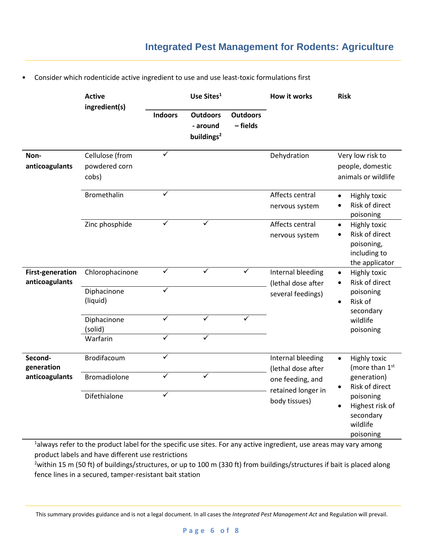# **Integrated Pest Management for Rodents: Agriculture**

|                                           | <b>Active</b><br>ingredient(s)                     | Use Sites <sup>1</sup>                             |                                                       |                             | <b>How it works</b>                                                                                                                                                                         | <b>Risk</b>                                                                                                                                                                         |
|-------------------------------------------|----------------------------------------------------|----------------------------------------------------|-------------------------------------------------------|-----------------------------|---------------------------------------------------------------------------------------------------------------------------------------------------------------------------------------------|-------------------------------------------------------------------------------------------------------------------------------------------------------------------------------------|
|                                           |                                                    | <b>Indoors</b>                                     | <b>Outdoors</b><br>- around<br>buildings <sup>2</sup> | <b>Outdoors</b><br>- fields |                                                                                                                                                                                             |                                                                                                                                                                                     |
| Non-<br>anticoagulants                    | Cellulose (from<br>powdered corn<br>cobs)          | ✓                                                  |                                                       |                             | Dehydration                                                                                                                                                                                 | Very low risk to<br>people, domestic<br>animals or wildlife                                                                                                                         |
|                                           | <b>Bromethalin</b>                                 | $\checkmark$                                       |                                                       |                             | Affects central<br>nervous system                                                                                                                                                           | <b>Highly toxic</b><br>$\bullet$<br>Risk of direct<br>$\bullet$<br>poisoning                                                                                                        |
|                                           | Zinc phosphide                                     | $\checkmark$                                       | $\checkmark$                                          |                             | Affects central<br>Highly toxic<br>$\bullet$<br>Risk of direct<br>nervous system<br>$\bullet$<br>poisoning,<br>including to<br>the applicator                                               |                                                                                                                                                                                     |
| <b>First-generation</b><br>anticoagulants | Chlorophacinone<br>Diphacinone<br>(liquid)         | $\overline{\checkmark}$<br>$\overline{\checkmark}$ | $\overline{\checkmark}$                               | ✓                           | Internal bleeding<br>Highly toxic<br>$\bullet$<br>Risk of direct<br>(lethal dose after<br>٠<br>poisoning<br>several feedings)<br>Risk of<br>$\bullet$<br>secondary<br>wildlife<br>poisoning |                                                                                                                                                                                     |
|                                           | Diphacinone<br>(solid)<br>Warfarin                 | $\overline{\checkmark}$<br>✓                       | $\overline{\checkmark}$<br>✓                          | $\overline{\checkmark}$     |                                                                                                                                                                                             |                                                                                                                                                                                     |
| Second-<br>generation<br>anticoagulants   | Brodifacoum<br><b>Bromadiolone</b><br>Difethialone | ✓<br>✓<br>$\checkmark$                             | $\checkmark$                                          |                             | Internal bleeding<br>(lethal dose after<br>one feeding, and<br>retained longer in<br>body tissues)                                                                                          | <b>Highly toxic</b><br>$\bullet$<br>(more than 1st<br>generation)<br>Risk of direct<br>$\bullet$<br>poisoning<br>Highest risk of<br>$\bullet$<br>secondary<br>wildlife<br>poisoning |
|                                           |                                                    |                                                    |                                                       |                             |                                                                                                                                                                                             |                                                                                                                                                                                     |

• Consider which rodenticide active ingredient to use and use least-toxic formulations first

<sup>1</sup>always refer to the product label for the specific use sites. For any active ingredient, use areas may vary among product labels and have different use restrictions

<sup>2</sup>within 15 m (50 ft) of buildings/structures, or up to 100 m (330 ft) from buildings/structures if bait is placed along fence lines in a secured, tamper-resistant bait station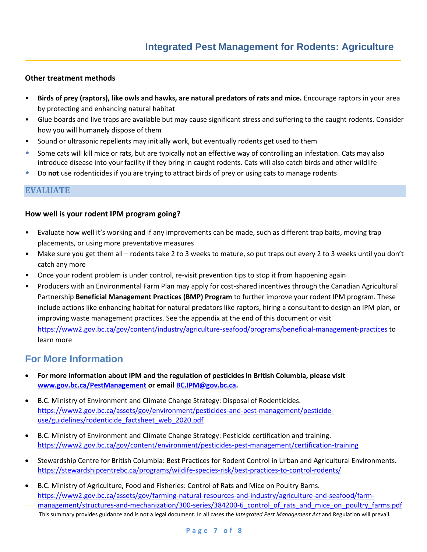#### **Other treatment methods**

- **Birds of prey (raptors), like owls and hawks, are natural predators of rats and mice.** Encourage raptors in your area by protecting and enhancing natural habitat
- Glue boards and live traps are available but may cause significant stress and suffering to the caught rodents. Consider how you will humanely dispose of them
- Sound or ultrasonic repellents may initially work, but eventually rodents get used to them
- Some cats will kill mice or rats, but are typically not an effective way of controlling an infestation. Cats may also introduce disease into your facility if they bring in caught rodents. Cats will also catch birds and other wildlife
- Do **not** use rodenticides if you are trying to attract birds of prey or using cats to manage rodents

#### **EVALUATE**

#### **How well is your rodent IPM program going?**

- Evaluate how well it's working and if any improvements can be made, such as different trap baits, moving trap placements, or using more preventative measures
- Make sure you get them all rodents take 2 to 3 weeks to mature, so put traps out every 2 to 3 weeks until you don't catch any more
- Once your rodent problem is under control, re-visit prevention tips to stop it from happening again
- Producers with an Environmental Farm Plan may apply for cost-shared incentives through the Canadian Agricultural Partnership **Beneficial Management Practices (BMP) Program** to further improve your rodent IPM program. These include actions like enhancing habitat for natural predators like raptors, hiring a consultant to design an IPM plan, or improving waste management practices. See the appendix at the end of this document or visit <https://www2.gov.bc.ca/gov/content/industry/agriculture-seafood/programs/beneficial-management-practices> to learn more

# **For More Information**

- **For more information about IPM and the regulation of pesticides in British Columbia, please visit [www.gov.bc.ca/PestManagement](http://www.gov.bc.ca/PestManagement) or emai[l BC.IPM@gov.bc.ca.](mailto:BC.IPM@gov.bc.ca)**
- B.C. Ministry of Environment and Climate Change Strategy: Disposal of Rodenticides. [https://www2.gov.bc.ca/assets/gov/environment/pesticides-and-pest-management/pesticide](https://www2.gov.bc.ca/assets/gov/environment/pesticides-and-pest-management/pesticide-use/guidelines/rodenticide_factsheet_web_2020.pdf)use/guidelines/rodenticide factsheet web 2020.pdf
- B.C. Ministry of Environment and Climate Change Strategy: Pesticide certification and training. <https://www2.gov.bc.ca/gov/content/environment/pesticides-pest-management/certification-training>
- Stewardship Centre for British Columbia: Best Practices for Rodent Control in Urban and Agricultural Environments. <https://stewardshipcentrebc.ca/programs/wildife-species-risk/best-practices-to-control-rodents/>
- This summary provides guidance and is not a legal document. In all cases the *Integrated Pest Management Act* and Regulation will prevail. • B.C. Ministry of Agriculture, Food and Fisheries: Control of Rats and Mice on Poultry Barns. [https://www2.gov.bc.ca/assets/gov/farming-natural-resources-and-industry/agriculture-and-seafood/farm](https://www2.gov.bc.ca/assets/gov/farming-natural-resources-and-industry/agriculture-and-seafood/farm-management/structures-and-mechanization/300-series/384200-6_control_of_rats_and_mice_on_poultry_farms.pdf)management/structures-and-mechanization/300-series/384200-6 control of rats and mice on poultry farms.pdf